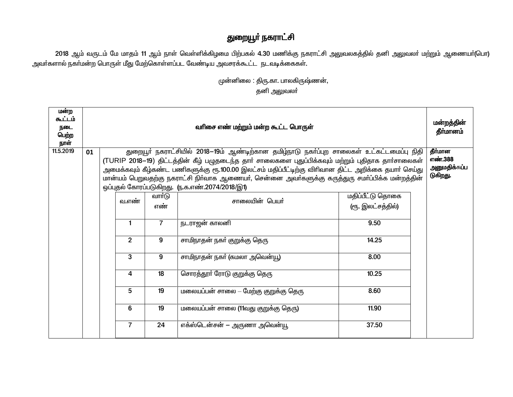## துறையூா் நகராட்சி

2018 ஆம் வருடம் மே மாதம் 11 ஆம் நாள் வெள்ளிக்கிழமை பிற்பகல் 4.30 மணிக்கு நகராட்சி அலுவலகத்தில் தனி அலுவலா் மற்றும் ஆணையா்(பொ) அவா்களால் நகா்மன்ற பொருள் மீது மேற்கொள்ளப்பட வேண்டிய அவசரக்கூட்ட நடவடிக்கைகள்.

> முன்னிலை : திரு.கா. பாலகிருஷ்ணன், தனி அலுவலா்

| மன்ற<br>கூட்டம்<br>நடை<br>பெற்ற<br>நாள் |    | வரிசை எண் மற்றும் மன்ற கூட்ட பொருள்                                                                                                                                                                                                                      |                |                          |                                                                                                                                                                                                  |                                       |                    |    |                              |       |  |
|-----------------------------------------|----|----------------------------------------------------------------------------------------------------------------------------------------------------------------------------------------------------------------------------------------------------------|----------------|--------------------------|--------------------------------------------------------------------------------------------------------------------------------------------------------------------------------------------------|---------------------------------------|--------------------|----|------------------------------|-------|--|
| 11.5.2019                               | 01 |                                                                                                                                                                                                                                                          |                |                          | துறையூா் நகராட்சியில் 2018–19ம் ஆண்டிற்கான தமிழ்நாடு நகா்ப்புற சாலைகள் உட்கட்டமைப்பு நிதி<br>(TURIP 2018–19) திட்டத்தின் கீழ் பழுதடைந்த தார் சாலைகளை புதுப்பிக்கவும் மற்றும் புதிதாக தார்சாலைகள் |                                       | தீர்மான<br>எண்.388 |    |                              |       |  |
|                                         |    | அமைக்கவும் கீழ்கண்ட பணிகளுக்கு ரூ.100.00 இலட்சம் மதிப்பீட்டிற்கு விரிவான திட்ட அறிக்கை தயார் செய்து<br>மான்யம் பெறுவதற்கு நகராட்சி நிர்வாக ஆணையர், சென்னை அவர்களுக்கு கருத்துரு சமா்ப்பிக்க மன்றத்தின்<br>ஒப்புதல் கோரப்படுகிறது. (ந.க.எண்.2074/2018/இ1) |                | அனுமதிக்கப்ப<br>டுகிறது. |                                                                                                                                                                                                  |                                       |                    |    |                              |       |  |
|                                         |    |                                                                                                                                                                                                                                                          | வ.எண்          | வாா்டு<br>எண்            | சாலையின் பெயர்                                                                                                                                                                                   | மதிப்பீட்டு தொகை<br>(ரூ. இலட்சத்தில்) |                    |    |                              |       |  |
|                                         |    |                                                                                                                                                                                                                                                          | $\mathbf{1}$   | $\overline{7}$           | நடராஜன் காலனி                                                                                                                                                                                    | 9.50                                  |                    |    |                              |       |  |
|                                         |    |                                                                                                                                                                                                                                                          | $\overline{2}$ | 9                        | சாமிநாதன் நகா் குறுக்கு தெரு                                                                                                                                                                     | 14.25                                 |                    |    |                              |       |  |
|                                         |    |                                                                                                                                                                                                                                                          | $\overline{3}$ | 9                        | சாமிநாதன் நகா் (கமலா அவென்யூ)                                                                                                                                                                    | 8.00                                  |                    |    |                              |       |  |
|                                         |    |                                                                                                                                                                                                                                                          |                |                          |                                                                                                                                                                                                  |                                       | 4                  | 18 | சொரத்தூா் ரோடு குறுக்கு தெரு | 10.25 |  |
|                                         |    |                                                                                                                                                                                                                                                          | 5              | 19                       | மலையப்பன் சாலை – மேற்கு குறுக்கு தெரு                                                                                                                                                            | 8.60                                  |                    |    |                              |       |  |
|                                         |    |                                                                                                                                                                                                                                                          | 6              | 19                       | மலையப்பன் சாலை (11வது குறுக்கு தெரு)                                                                                                                                                             | 11.90                                 |                    |    |                              |       |  |
|                                         |    |                                                                                                                                                                                                                                                          | $\overline{7}$ | 24                       | எக்ஸ்டென்சன் – அருணா அவென்யூ                                                                                                                                                                     | 37.50                                 |                    |    |                              |       |  |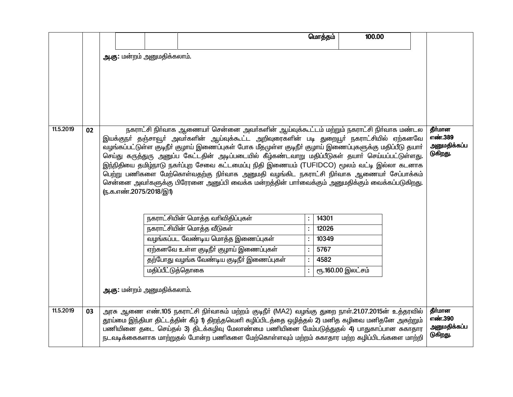|           |    |                             |                   |                                                                                                                                                                                         | மொத்தம் | 100.00            |                          |
|-----------|----|-----------------------------|-------------------|-----------------------------------------------------------------------------------------------------------------------------------------------------------------------------------------|---------|-------------------|--------------------------|
|           |    | அ.கு: மன்றம் அனுமதிக்கலாம். |                   |                                                                                                                                                                                         |         |                   |                          |
|           |    |                             |                   |                                                                                                                                                                                         |         |                   |                          |
|           |    |                             |                   |                                                                                                                                                                                         |         |                   |                          |
|           |    |                             |                   |                                                                                                                                                                                         |         |                   |                          |
|           |    |                             |                   |                                                                                                                                                                                         |         |                   |                          |
|           |    |                             |                   |                                                                                                                                                                                         |         |                   |                          |
|           |    |                             |                   |                                                                                                                                                                                         |         |                   |                          |
| 11.5.2019 | 02 |                             |                   | நகராட்சி நிர்வாக ஆணையர் சென்னை அவர்களின் ஆய்வுக்கூட்டம் மற்றும் நகராட்சி நிர்வாக மண்டல<br>இயக்குநா் தஞ்சாவூா் அவா்களின் ஆய்வுக்கூட்ட அறிவுரைகளின் படி துறையூா் நகராட்சியில் ஏற்கனவே     |         |                   | தீர்மான<br>எண்.389       |
|           |    |                             |                   | வழங்கப்பட்டுள்ள குடிநீா் குழாய் இணைப்புகள் போக மீதமுள்ள குடிநீா் குழாய் இணைப்புகளுக்கு மதிப்பீடு தயாா்                                                                                  |         |                   | அனுமதிக்கப்ப             |
|           |    |                             |                   | செய்து கருத்துரு அனுப்ப கேட்டதின் அடிப்படையில் கீழ்கண்டவாறு மதிப்பீடுகள் தயாா் செய்யப்பட்டுள்ளது.                                                                                       |         |                   | டுகிறது.                 |
|           |    |                             |                   | இந்நிதியை தமிழ்நாடு நகா்ப்புற சேவை கட்டமைப்பு நிதி இணையம் (TUFIDCO) மூலம் வட்டி இல்லா கடனாக<br>பெற்று பணிகளை மேற்கொள்வதற்கு நிா்வாக அனுமதி வழங்கிட நகராட்சி நிா்வாக ஆணையா் சேப்பாக்கம்  |         |                   |                          |
|           |    |                             |                   | சென்னை அவர்களுக்கு பிரேரனை அனுப்பி வைக்க மன்றத்தின் பார்வைக்கும் அனுமதிக்கும் வைக்கப்படுகிறது.                                                                                          |         |                   |                          |
|           |    | (ந.க.எண்.2075/2018/இ1)      |                   |                                                                                                                                                                                         |         |                   |                          |
|           |    |                             |                   |                                                                                                                                                                                         |         |                   |                          |
|           |    |                             |                   | நகராட்சியின் மொத்த வரிவிதிப்புகள்                                                                                                                                                       | 14301   |                   |                          |
|           |    |                             |                   | நகராட்சியின் மொத்த வீடுகள்                                                                                                                                                              | 12026   |                   |                          |
|           |    |                             |                   | வழங்கப்பட வேண்டிய மொத்த இணைப்புகள்                                                                                                                                                      | 10349   |                   |                          |
|           |    |                             |                   | ஏற்கனவே உள்ள குடிநீா் குழாய் இணைப்புகள்                                                                                                                                                 | 5767    |                   |                          |
|           |    |                             |                   | தற்போது வழங்க வேண்டிய குடிநீா் இணைப்புகள்                                                                                                                                               | 4582    |                   |                          |
|           |    |                             | மதிப்பீட்டுத்தொகை |                                                                                                                                                                                         |         | ரு.160.00 இலட்சம் |                          |
|           |    | அ.கு: மன்றம் அனுமதிக்கலாம். |                   |                                                                                                                                                                                         |         |                   |                          |
|           |    |                             |                   |                                                                                                                                                                                         |         |                   |                          |
| 11.5.2019 | 03 |                             |                   | அரசு ஆணை எண்.105 நகராட்சி நிர்வாகம் மற்றம் குடிநீர் (MA2) வழங்கு துறை நாள்.21.07.2015ன் உத்தரவில்                                                                                       |         |                   | தீர்மான                  |
|           |    |                             |                   | தூய்மை இந்தியா திட்டத்தின் கீழ் 1) திறந்தவெளி கழிப்பிடத்தை ஒழித்தல் 2) மனித கழிவை மனிதனே அகற்றும்                                                                                       |         |                   | எண்.390                  |
|           |    |                             |                   | பணியினை தடை செய்தல் 3) திடக்கழிவு மேலாண்மை பணியினை மேம்படுத்துதல் 4) பாதுகாப்பான சுகாதார<br>நடவடிக்கைகளாக மாற்றுதல் போன்ற பணிகளை மேற்கொள்ளவும் மற்றம் சுகாதார மற்ற கழிப்பிடங்களை மாற்றி |         |                   | அனுமதிக்கப்ப<br>டுகிறது. |
|           |    |                             |                   |                                                                                                                                                                                         |         |                   |                          |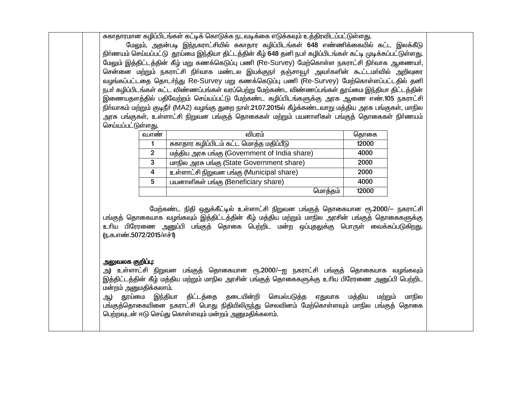சுகாதாரமான கழிப்பிடங்கள் கட்டிக் கொடுக்க நடவடிக்கை எடுக்கவும் உக்கிரவிடப்பட்டுள்ளது.

மேலும், அதன்படி இந்நகராட்சியில் சுகாதார கழிப்பிடங்கள் 648 எண்ணிக்கையில் கட்ட இலக்கீடு நிர்ணயம் செய்யப்பட்டு தூய்மை இந்தியா திட்டத்தின் கீழ் 648 தனி நபர் கழிப்பிடங்கள் கட்டி முடிக்கப்பட்டுள்ளது. மேலும் இத்திட்டத்தின் கீழ் மறு கணக்கெடுப்பு பணி (Re-Survey) மேற்கொள்ள நகராட்சி நிர்வாக ஆணையர், சென்னை மற்றும் நகராட்சி நிா்வாக மண்டல இயக்குநா் தஞ்சாவூா் அவா்களின் கூட்டமா்வில் அறிவுரை வழங்கப்பட்டதை தொடர்ந்து Re-Survey மறு கணக்கெடுப்பு பணி (Re-Survey) மேற்கொள்ளப்பட்டதில் தனி நபர் கழிப்பிடங்கள் கட்ட விண்ணப்பங்கள் வரப்பெற்று மேற்கண்ட விண்ணப்பங்கள் தூய்மை இந்தியா திட்டத்தின் இணையதளத்தில் பதிவேற்றம் செய்யப்பட்டு மேற்கண்ட கழிப்பிடங்களுக்கு அரசு ஆணை எண்.105 நகராட்சி நிர்வாகம் மற்றும் குடிநீர் (MA2) வழங்கு துறை நாள்.21.07.2015ல் கீழ்க்கண்டவாறு மத்திய அரசு பங்குகள், மாநில அரசு பங்குகள், உள்ளாட்சி நிறுவன பங்குத் தொகைகள் மற்றும் பயனாளிகள் பங்குத் தொகைகள் நிர்ணயம் செய்யப்பட்டுள்ளது.

| வ.எண்        | விபரம்                                        | தொகை  |
|--------------|-----------------------------------------------|-------|
|              | சுகாதார கழிப்பிடம் கட்ட மொத்த மதிப்பீடு       | 12000 |
| $\mathbf{2}$ | மத்திய அரசு பங்கு (Government of India share) | 4000  |
| 3            | மாநில அரசு பங்கு (State Government share)     | 2000  |
| 4            | உள்ளாட்சி நிறுவன பங்கு (Municipal share)      | 2000  |
| 5            | பயனாளிகள் பங்கு (Beneficiary share)           | 4000  |
|              | மொத்தம்                                       | 12000 |

மேற்கண்ட நிதி ஒதுக்கீட்டில் உள்ளாட்சி நிறுவன பங்குத் தொகையான ரூ.2000/— நகராட்சி பங்குத் தொகையாக வழங்கவும் இத்திட்டத்தின் கீழ் மத்திய மற்றும் மாநில அரசின் பங்குத் தொகைகளுக்கு .<br>உரிய பிரேரணை அனுப்பி பங்குத் தொகை பெற்றிட மன்ற ஒப்புதலுக்கு பொருள் வைக்கப்படுகிறது. ரு.க.எண்.5072/2015/எச்1)

## அலுவலக குறிப்பு:

அ) உள்ளாட்சி நிறுவன பங்குத் தொகையான ரூ.2000/—ஐ நகராட்சி பங்குத் தொகையாக வழங்கவும் இத்திட்டத்தின் கீழ் மத்திய மற்றும் மாநில அரசின் பங்குத் தொகைகளுக்கு உரிய பிரேரணை அனுப்பி பெற்றிட மன்றம் அனுமதிக்கலாம்.

ஆ) தூய்மை இந்தியா திட்டத்தை தடையின்றி செயல்படுத்த ஏதுவாக மத்திய மற்றும் மாநில பங்குத்தொகையினை நகராட்சி பொது நிதியிலிருந்து செலவினம் மேற்கொள்ளவும் மாநில பங்குத் தொகை பெற்றவுடன் ஈடு செய்து கொள்ளவும் மன்றம் அனுமதிக்கலாம்.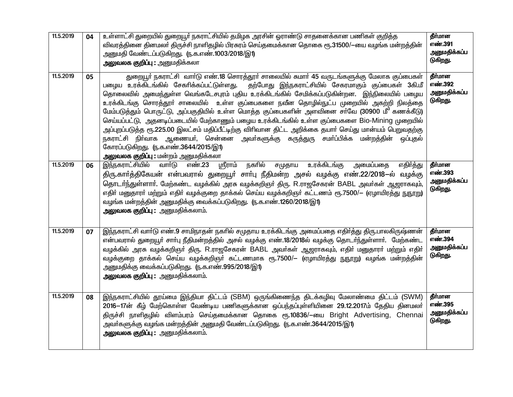| 11.5.2019 | 04 | உள்ளாட்சி துறையில் துறையூர் நகராட்சியில் தமிழக அரசின் ஓராண்டு சாதனைக்கான பணிகள் குறித்த<br>விவரத்தினை தினமலா் திருச்சி நாளிதழில் பிரசுரம் செய்தமைக்கான தொகை ரூ.31500/—யை வழங்க மன்றத்தின்<br>அனுமதி வேண்டப்படுகிறது. (ந.க.எண்.1003/2018/இ1)<br><b>அலுவலக குறிப்பு :</b> அனுமதிக்கலா                                                                                                                                                                                                                                                                                                                                                                                                                                                                                                                                                                                                         | தீர்மான<br>எண்.391<br>அனுமதிக்கப்ப<br>டுகிறது. |
|-----------|----|---------------------------------------------------------------------------------------------------------------------------------------------------------------------------------------------------------------------------------------------------------------------------------------------------------------------------------------------------------------------------------------------------------------------------------------------------------------------------------------------------------------------------------------------------------------------------------------------------------------------------------------------------------------------------------------------------------------------------------------------------------------------------------------------------------------------------------------------------------------------------------------------|------------------------------------------------|
| 11.5.2019 | 05 | துறையூர் நகராட்சி வார்டு எண்.18 சொரத்தூர் சாலையில் சுமார் 45 வருடங்களுக்கு மேலாக குப்பைகள்<br>பழைய உரக்கிடங்கில் சேகாிக்கப்பட்டுள்ளது. தற்போது இந்நகராட்சியில் சேகரமாகும் குப்பைகள் 3கி.மீ<br>தொலைவில் அமைந்துள்ள வெங்கடேசபுரம் புதிய உரக்கிடங்கில் சேமிக்கப்படுகின்றன. இந்நிலையில் பழைய<br>உரக்கிடங்கு சொரத்தூா் சாலையில் உள்ள குப்பைகளை நவீன தொழில்நுட்ப முறையில் அகற்றி நிலத்தை<br>மேம்படுத்தும் பொருட்டு, அப்பகுதியில் உள்ள மொத்த குப்பைகளின் அளவினை சா்வே (30900 மீ <sup>3</sup> கணக்கீடு)<br>செய்யப்பட்டு, அதனடிப்படையில் மேற்காணும் பழைய உரக்கிடங்கில் உள்ள குப்பைகளை Bio-Mining முறையில்<br>அப்புறப்படுத்த ரூ.225.00 இலட்சம் மதிப்பீட்டிற்கு விரிவான திட்ட அறிக்கை தயார் செய்து மான்யம் பெறுவதற்கு<br>நகராட்சி நிா்வாக ஆணையா், சென்னை அவா்களுக்கு கருத்துரு சமா்ப்பிக்க மன்றத்தின் ஒப்புதல்<br>கோரப்படுகிறது. (ந.க.எண்.3644/2015/இ1)<br><b>அலுவலக குறிப்பு :</b> மன்றம் அனுமதிக்கலா | தீர்மான<br>எண்.392<br>அனுமதிக்கப்ப<br>டுகிறது. |
| 11.5.2019 | 06 | <u>இந்நகராட்சியில் வாா்டு</u><br><u>ஸ்ரீராம் ந</u> கரில்<br>உரக்கிடங்கு<br>எண்.23<br>சமுதாய<br>அமைப்பதை<br>எதிர்த்து<br>திரு.காா்த்திகேயன் என்பவரால் துறையூா் சாா்பு நீதிமன்ற அசல் வழக்கு எண்.22/2018—ல் வழக்கு<br>தொடர்ந்துள்ளார். மேற்கண்ட வழக்கில் அரசு வழக்கறிஞர் திரு. R.ராஜசேகரன் BABL அவர்கள் ஆஜராகவும்,<br>எதிா் மனுதாரா் மற்றும் எதிா் வழக்குறை தாக்கல் செய்ய வழக்கறிஞா் கட்டணம் ரூ.7500/— (ஏழாயிரத்து நுநூறு)<br>வழங்க மன்றத்தின் அனுமதிக்கு வைக்கப்படுகிறது. (ந.க.எண்.1260/2018/இ1)<br>அலுவலக குறிப்பு: அனுமதிக்கலாம்.                                                                                                                                                                                                                                                                                                                                                           | தீர்மான<br>எண்.393<br>அனுமதிக்கப்ப<br>டுகிறது. |
| 11.5.2019 | 07 | இந்நகராட்சி வார்டு எண்.9 சாமிநாதன் நகரில் சமுதாய உரக்கிடங்கு அமைப்பதை எதிர்த்து திரு.பாலகிருஷ்ணன்<br>என்பவரால் துறையூர் சார்பு நீதிமன்றத்தில் அசல் வழக்கு எண்.18/2018ல் வழக்கு தொடர்ந்துள்ளார். மேற்கண்ட<br>வழக்கில் அரசு வழக்கறிஞா் திரு. R.ராஜசேகரன் BABL அவா்கள் ஆஜராகவும், எதிா் மனுதாரா் மற்றும் எதிா்<br>வழக்குறை தாக்கல் செய்ய வழக்கறிஞா் கட்டணமாக ரூ.7500/— (ஏழாயிரத்து நுநூறு) வழங்க மன்றத்தின்<br>அனுமதிக்கு வைக்கப்படுகிறது. (ந.க.எண்.995/2018/இ1)<br><b>அலுவலக குறிப்பு :</b> அனுமதிக்கலாம்.                                                                                                                                                                                                                                                                                                                                                                                    | தீர்மான<br>எண்.394<br>அனுமதிக்கப்ப<br>டுகிறது. |
| 11.5.2019 | 08 | இந்நகராட்சியில் தூய்மை இந்தியா திட்டம் (SBM) ஒருங்கிணைந்த திடக்கழிவு மேலாண்மை திட்டம் (SWM)<br>2016–17ன் கீழ் மேற்கொள்ள வேண்டிய பணிகளுக்கான ஒப்பந்தப்புள்ளியினை 29.12.2017ம் தேதிய தினமலா்<br>திருச்சி நாளிதழில் விளம்பரம் செய்தமைக்கான தொகை ரூ.10836/–யை Bright Advertising, Chennai<br>அவா்களுக்கு வழங்க மன்றத்தின் அனுமதி வேண்டப்படுகிறது. (ந.க.எண்.3644/2015/இ1)<br>அலுவலக குறிப்பு : அனுமதிக்கலாம்.                                                                                                                                                                                                                                                                                                                                                                                                                                                                                    | தீர்மான<br>எண்.395<br>அனுமதிக்கப்ப<br>டுகிறது. |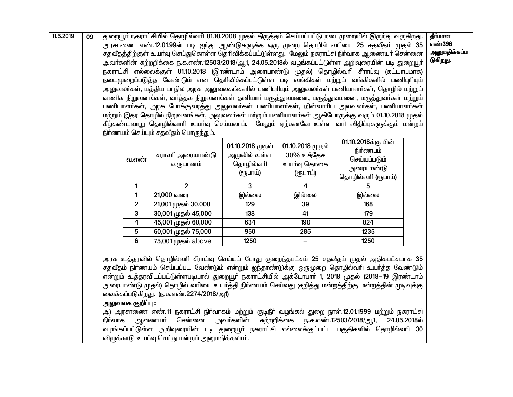| 11.5.2019 | 09 |         | துறையூா் நகராட்சியில் தொழில்வாி 01.10.2008 முதல் திருத்தம் செய்யப்பட்டு நடைமுறையில் இருந்து வருகிறது.<br>எண்396<br>அரசாணை எண்.12.01.99ன் படி ஐந்து ஆண்டுகளுக்க ஒரு முறை தொழில் வாியை 25 சதவீதம் முதல் 35<br>அனுமதிக்கப்ப<br>சதவீதத்திற்குள் உயர்வு செய்துகொள்ள தெரிவிக்கப்பட்டுள்ளது.  மேலும் நகராட்சி நிர்வாக ஆணையர் சென்னை<br>டுகிறது.<br>அவா்களின் சுற்றறிக்கை ந.க.எண்.12503/2018/ஆ1, 24.05.2018ல் வழங்கப்பட்டுள்ள அறிவுரையின் படி துறையூா்<br>நகராட்சி எல்லைக்குள் 01.10.2018 (இரண்டாம் அரையாண்டு முதல்) தொழில்வரி சீராய்வு (கட்டாயமாக)<br>நடைமுறைப்படுத்த வேண்டும் என தெரிவிக்கப்பட்டுள்ள படி வங்கிகள் மற்றும் வங்கிகளில் பணிபுரியும்<br>அலுவலா்கள், மத்திய மாநில அரசு அலுவலகங்களில் பணிபுாியும் அலுவலா்கள் பணியாளா்கள், தொழில் மற்றும்<br>வணிக நிறுவனங்கள், வா்த்தக நிறுவனங்கள் தனியாா் மருத்துவமனை, மருத்துவமனை, மருத்துவா்கள் மற்றும்<br>பணியாளா்கள், அரசு போக்குவரத்து அலுவலா்கள் பணியாளா்கள், மின்வாாிய அலவலா்கள், பணியாளா்கள்<br>மற்றும் இதர தொழில் நிறுவனங்கள், அலுவலா்கள் மற்றும் பணியாளா்கள் ஆகியோருக்கு வரும் 01.10.2018 முதல்<br>கீழ்கண்டவாறு தொழில்வாாி உயா்வு செய்யலாம். மேலும் ஏற்கனவே உள்ள வாி விதிப்புகளுக்கும் மன்றம்<br>நிர்ணயம் செய்யும் சதவீதம் பொருந்தும். |                                                                                                                                                                                                                                                                                                                                                                                                                                                                                                                                                                                                                                                                                                                               |                                                           |                                                           |                                                                                    |              |  |  |  |
|-----------|----|---------|--------------------------------------------------------------------------------------------------------------------------------------------------------------------------------------------------------------------------------------------------------------------------------------------------------------------------------------------------------------------------------------------------------------------------------------------------------------------------------------------------------------------------------------------------------------------------------------------------------------------------------------------------------------------------------------------------------------------------------------------------------------------------------------------------------------------------------------------------------------------------------------------------------------------------------------------------------------------------------------------------------------------------------------------------------------------------------------------------------------------------------------------------------------------------------------|-------------------------------------------------------------------------------------------------------------------------------------------------------------------------------------------------------------------------------------------------------------------------------------------------------------------------------------------------------------------------------------------------------------------------------------------------------------------------------------------------------------------------------------------------------------------------------------------------------------------------------------------------------------------------------------------------------------------------------|-----------------------------------------------------------|-----------------------------------------------------------|------------------------------------------------------------------------------------|--------------|--|--|--|
|           |    |         | வ.எண்                                                                                                                                                                                                                                                                                                                                                                                                                                                                                                                                                                                                                                                                                                                                                                                                                                                                                                                                                                                                                                                                                                                                                                                | சராசரி அரையாண்டு<br>வருமானம்                                                                                                                                                                                                                                                                                                                                                                                                                                                                                                                                                                                                                                                                                                  | 01.10.2018 முதல்<br>அமுலில் உள்ள<br>தொழில்வரி<br>(ரூபாய்) | 01.10.2018 முதல்<br>30% உத்தேச<br>உயா்வு தொகை<br>(ரூபாய்) | 01.10.2018க்கு பின்<br>நிா்ணயம்<br>செய்யப்படும்<br>அரையாண்டு<br>தொழில்வாி (ரூபாய்) |              |  |  |  |
|           |    |         | 1                                                                                                                                                                                                                                                                                                                                                                                                                                                                                                                                                                                                                                                                                                                                                                                                                                                                                                                                                                                                                                                                                                                                                                                    | $\overline{2}$                                                                                                                                                                                                                                                                                                                                                                                                                                                                                                                                                                                                                                                                                                                | 3                                                         | 4                                                         | 5                                                                                  |              |  |  |  |
|           |    |         | $\mathbf{1}$                                                                                                                                                                                                                                                                                                                                                                                                                                                                                                                                                                                                                                                                                                                                                                                                                                                                                                                                                                                                                                                                                                                                                                         | 21,000 வரை                                                                                                                                                                                                                                                                                                                                                                                                                                                                                                                                                                                                                                                                                                                    | இல்லை                                                     | இல்லை                                                     | இல்லை                                                                              |              |  |  |  |
|           |    |         | $\overline{2}$                                                                                                                                                                                                                                                                                                                                                                                                                                                                                                                                                                                                                                                                                                                                                                                                                                                                                                                                                                                                                                                                                                                                                                       | 21,001 முதல் 30,000                                                                                                                                                                                                                                                                                                                                                                                                                                                                                                                                                                                                                                                                                                           | 129                                                       | 39                                                        | 168                                                                                |              |  |  |  |
|           |    |         | 3                                                                                                                                                                                                                                                                                                                                                                                                                                                                                                                                                                                                                                                                                                                                                                                                                                                                                                                                                                                                                                                                                                                                                                                    | 30,001 முதல் 45,000                                                                                                                                                                                                                                                                                                                                                                                                                                                                                                                                                                                                                                                                                                           | 138                                                       | 41                                                        | 179                                                                                |              |  |  |  |
|           |    |         | $\overline{\mathbf{4}}$                                                                                                                                                                                                                                                                                                                                                                                                                                                                                                                                                                                                                                                                                                                                                                                                                                                                                                                                                                                                                                                                                                                                                              | 45,001 முதல் 60,000                                                                                                                                                                                                                                                                                                                                                                                                                                                                                                                                                                                                                                                                                                           | 634                                                       | 190                                                       | 824                                                                                |              |  |  |  |
|           |    |         | 5                                                                                                                                                                                                                                                                                                                                                                                                                                                                                                                                                                                                                                                                                                                                                                                                                                                                                                                                                                                                                                                                                                                                                                                    | 60,001 முதல் 75,000                                                                                                                                                                                                                                                                                                                                                                                                                                                                                                                                                                                                                                                                                                           | 950                                                       | 285                                                       | 1235                                                                               |              |  |  |  |
|           |    |         | 6                                                                                                                                                                                                                                                                                                                                                                                                                                                                                                                                                                                                                                                                                                                                                                                                                                                                                                                                                                                                                                                                                                                                                                                    | 75,001 முதல் above                                                                                                                                                                                                                                                                                                                                                                                                                                                                                                                                                                                                                                                                                                            | 1250                                                      | $\qquad \qquad -$                                         | 1250                                                                               |              |  |  |  |
|           |    | நிர்வாக | அலுவலக குறி <b>ப்</b> பு :                                                                                                                                                                                                                                                                                                                                                                                                                                                                                                                                                                                                                                                                                                                                                                                                                                                                                                                                                                                                                                                                                                                                                           | அரசு உத்தரவில் தொழில்வாி சீராய்வு செய்யும் போது குறைந்தபட்சம் 25 சதவீதம் முதல் அதிகபட்சமாக 35<br>சதவீதம் நிா்ணயம் செய்யப்பட வேண்டும் என்றும் ஐந்தாண்டுக்கு ஒருமுறை தொழில்வாி உயா்த்த வேண்டும்<br>என்றும் உத்தரவிடப்பட்டுள்ளபடியால் துறையூா் நகராட்சியில் அக்டோபாா் 1, 2018 முதல் (2018—19 இரண்டாம்<br>அரையாண்டு முதல்) தொழில் வாியை உயா்த்தி நிா்ணயம் செய்வது குறித்து மன்றத்திற்கு மன்றத்தின் முடிவுக்கு<br>வைக்கப்படுகிறது. (ந.க.எண்.2274/2018/அ1)<br>அ) அரசாணை எண்.11 நகராட்சி நிா்வாகம் மற்றும் குடிநீா் வழங்கல் துறை நாள்.12.01.1999 மற்றும் நகராட்சி<br>சென்னை<br>ஆணையா்<br>வழங்கப்பட்டுள்ள அறிவுரையின் படி துறையூா் நகராட்சி எல்லைக்குட்பட்ட பகுதிகளில் தொழில்வாி 30<br>விழுக்காடு உயா்வு செய்து மன்றம் அனுமதிக்கலாம். | அவா்களின்                                                 | சுற்றறிக்கை                                               | ந.க.எண்.12503/2018/ஆ1,                                                             | 24.05.2018ல் |  |  |  |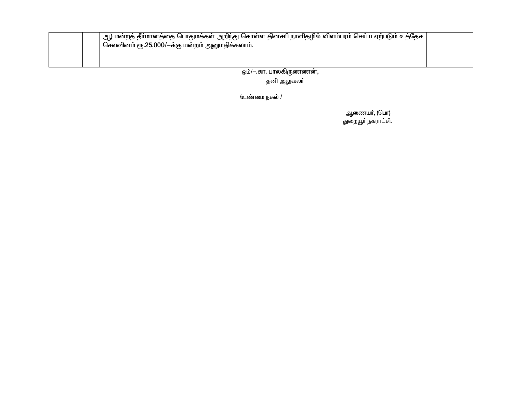|  | ஆ) மன்றத் தீா்மானத்தை பொதுமக்கள் அறிந்து கொள்ள தினசாி நாளிதழில் விளம்பரம் செய்ய ஏற்படும் உத்தேச<br>, செலவினம் ரூ.25,000/—க்கு மன்றம் அனுமதிக்கலாம். |  |
|--|-----------------------------------------------------------------------------------------------------------------------------------------------------|--|
|  |                                                                                                                                                     |  |

ஒம்/- .கா. பாலகிருணணன்,

தனி அலுவலா்

/உண்மை நகல் /

ஆணையா், (பொ)<br>துறையூா் நகராட்சி.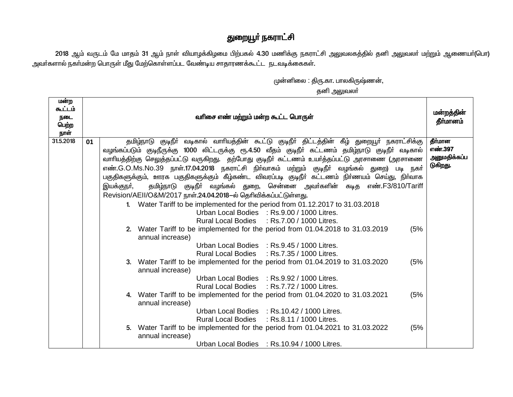## துறையூா் நகராட்சி

2018 ஆம் வருடம் மே மாதம் 31 ஆம் நாள் வியாழக்கிழமை பிற்பகல் 4.30 மணிக்கு நகராட்சி அலுவலகத்தில் தனி அலுவலா் மற்றும் ஆணையா்(பொ) அவா்களால் நகா்மன்ற பொருள் மீது மேற்கொள்ளப்பட வேண்டிய சாதாரணக்கூட்ட நடவடிக்கைகள்.

முன்னிலை : திரு.கா. பாலகிருஷ்ணன்,

தனி அலுவலா்

| மன்ற<br>கூட்டம்<br>நடை<br>பெற்ற<br>நாள் | வரிசை எண் மற்றும் மன்ற கூட்ட பொருள் |                                                                                                                                                                                                                                                                                                                                                                                                                                                                                                                                                                                                                                                                                                                                                                                                                                                                                                                                                                       |                                                |  |  |  |  |
|-----------------------------------------|-------------------------------------|-----------------------------------------------------------------------------------------------------------------------------------------------------------------------------------------------------------------------------------------------------------------------------------------------------------------------------------------------------------------------------------------------------------------------------------------------------------------------------------------------------------------------------------------------------------------------------------------------------------------------------------------------------------------------------------------------------------------------------------------------------------------------------------------------------------------------------------------------------------------------------------------------------------------------------------------------------------------------|------------------------------------------------|--|--|--|--|
| 31.5.2018                               | 01                                  | தமிழ்நாடு குடிநீா் வடிகால் வாாியத்தின் கூட்டு குடிநீா் திட்டத்தின் கீழ் துறையூா் நகராட்சிக்கு<br>வழங்கப்படும் குடிநீருக்கு 1000 லிட்டருக்கு ரூ.4.50 வீதம் குடிநீா் கட்டணம் தமிழ்நாடு குடிநீா் வடிகால்<br>வாரியத்திற்கு செலுத்தப்பட்டு வருகிறது. தற்போது குடிநீா் கட்டணம் உயா்த்தப்பட்டு அரசாணை (அரசாணை<br>எண்.G.O.Ms.No.39 நாள்.17.04.2018 நகராட்சி நிர்வாகம் மற்றும் குடிநீர் வழங்கல் துறை) படி நகர்<br>பகுதிகளுக்கும், ஊரக பகுதிகளுக்கும் கீழ்கண்ட விவரப்படி குடிநீா் கட்டணம் நிா்ணயம் செய்து, நிா்வாக<br>தமிழ்நாடு குடிநீா் வழங்கல் துறை, சென்னை அவா்களின் கடித எண்.F3/810/Tariff<br>இயக்குநா்,<br>Revision/AEII/O&M/2017 நாள்.24.04.2018-ல் தெரிவிக்கப்பட்டுள்ளது.<br>Water Tariff to be implemented for the period from 01.12.2017 to 31.03.2018<br>1<br>Urban Local Bodies : Rs.9.00 / 1000 Litres.<br>Rural Local Bodies : Rs.7.00 / 1000 Litres.<br>(5%<br>2. Water Tariff to be implemented for the period from 01.04.2018 to 31.03.2019<br>annual increase) | தீர்மான<br>எண்.397<br>அனுமதிக்கப்ப<br>டுகிறது. |  |  |  |  |
|                                         |                                     | Urban Local Bodies : Rs.9.45 / 1000 Litres.<br>Rural Local Bodies : Rs.7.35 / 1000 Litres.<br>(5%<br>3. Water Tariff to be implemented for the period from 01.04.2019 to 31.03.2020<br>annual increase)<br>Urban Local Bodies : Rs.9.92 / 1000 Litres.<br>Rural Local Bodies : Rs.7.72 / 1000 Litres.<br>4. Water Tariff to be implemented for the period from 01.04.2020 to 31.03.2021<br>(5%<br>annual increase)<br>Urban Local Bodies : Rs.10.42 / 1000 Litres.<br>Rural Local Bodies : Rs.8.11 / 1000 Litres.<br>5. Water Tariff to be implemented for the period from 01.04.2021 to 31.03.2022<br>(5%<br>annual increase)<br>Urban Local Bodies : Rs.10.94 / 1000 Litres.                                                                                                                                                                                                                                                                                        |                                                |  |  |  |  |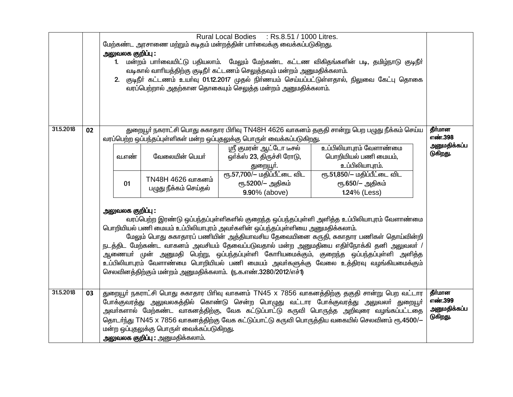|           | Rural Local Bodies : Rs.8.51 / 1000 Litres.<br>மேற்கண்ட அரசாணை மற்றும் கடிதம் மன்றத்தின் பார்வைக்கு வைக்கப்படுகிறது.<br>அலுவலக குறிப்பு :<br>மன்றம் பார்வையிட்டு பதியலாம். மேலும் மேற்கண்ட கட்டண விகிதங்களின் படி, தமிழ்நாடு குடிநீர்<br>1 <sup>1</sup><br>வடிகால் வாரியத்திற்கு குடிநீர் கட்டணம் செலுத்தவும் மன்றம் அனுமதிக்கலாம்.<br>2. குடிநீா் கட்டணம் உயா்வு 01.12.2017 முதல் நிா்ணயம் செய்யப்பட்டுள்ளதால், நிலுவை கேட்பு தொகை<br>வரப்பெற்றால் அதற்கான தொகையும் செலுத்த மன்றம் அனுமதிக்கலாம்.                                                  |                                                                                                                                                                                                                                                                                                                                                                                                                                                                                                                     |       |                                            |                                                                                 |                                                                                              |                          |  |  |
|-----------|-----------------------------------------------------------------------------------------------------------------------------------------------------------------------------------------------------------------------------------------------------------------------------------------------------------------------------------------------------------------------------------------------------------------------------------------------------------------------------------------------------------------------------------------------------|---------------------------------------------------------------------------------------------------------------------------------------------------------------------------------------------------------------------------------------------------------------------------------------------------------------------------------------------------------------------------------------------------------------------------------------------------------------------------------------------------------------------|-------|--------------------------------------------|---------------------------------------------------------------------------------|----------------------------------------------------------------------------------------------|--------------------------|--|--|
| 31.5.2018 | 02                                                                                                                                                                                                                                                                                                                                                                                                                                                                                                                                                  |                                                                                                                                                                                                                                                                                                                                                                                                                                                                                                                     |       |                                            | வரப்பெற்ற ஒப்பந்தப்புள்ளிகள் மன்ற ஒப்புதலுக்கு பொருள் வைக்கப்படுகிறது.          | துறையூர் நகராட்சி பொது சுகாதார பிரிவு TN48H 4626 வாகனம் தகுதி சான்று பெற பழுது நீக்கம் செய்ய | தீர்மான<br>எண்.398       |  |  |
|           |                                                                                                                                                                                                                                                                                                                                                                                                                                                                                                                                                     |                                                                                                                                                                                                                                                                                                                                                                                                                                                                                                                     | வ.எண் | வேலையின் பெயர்                             | ஸ்ரீ கும <del>ரன் ஆட்டோ டீச</del> ல்<br>ஒர்க்ஸ் 23, திருச்சி ரோடு,<br>துறையூா். | உப்பிலியாபுரம் வேளாண்மை<br>பொறியியல் பணி மையம்,<br>உப்பிலியாபுரம்.                           | அனுமதிக்கப்ப<br>டுகிறது. |  |  |
|           |                                                                                                                                                                                                                                                                                                                                                                                                                                                                                                                                                     |                                                                                                                                                                                                                                                                                                                                                                                                                                                                                                                     | 01    | TN48H 4626 வாகனம்<br>பழுது நீக்கம் செய்தல் | ரூ.57,700/- மதிப்பீட்டை விட<br>ரூ.5200/- அதிகம்<br>9.90% (above)                | ரூ.51,850/- மதிப்பீட்டை விட<br>ரூ.650/- அதிகம்<br>1.24% (Less)                               |                          |  |  |
|           | வரப்பெற்ற இரண்டு ஒப்பந்தப்புள்ளிகளில் குறைந்த ஒப்பந்தப்புள்ளி அளித்த உப்பிலியாபுரம் வேளாண்மை<br>பொறியியல் பணி மையம் உப்பிலியாபுரம் அவர்களின் ஒப்பந்தப்புள்ளியை அனுமதிக்கலாம்.<br>மேலும் பொது சுகாதாரப் பணியின் அத்தியாவசிய தேவையினை கருதி, சுகாதார பணிகள் தொய்வின்றி<br>நடத்திட மேற்கண்ட வாகனம் அவசியம் தேவைப்படுவதால் மன்ற அனுமதியை எதிா்நோக்கி தனி அலுவலா் /<br>ஆணையா் முன் அனுமதி பெற்று, ஒப்பந்தப்புள்ளி கோாியமைக்கும், குறைந்த ஒப்பந்தப்புள்ளி அளித்த<br>உப்பிலியாபுரம் வேளாண்மை பொறியியல் பணி மையம் அவா்களுக்கு வேலை உத்திரவு வழங்கியமைக்கும் |                                                                                                                                                                                                                                                                                                                                                                                                                                                                                                                     |       |                                            |                                                                                 |                                                                                              |                          |  |  |
| 31.5.2018 | 03                                                                                                                                                                                                                                                                                                                                                                                                                                                                                                                                                  | தீர்மான<br>துறையூர் நகராட்சி பொது சுகாதார பிரிவு வாகனம் TN45 x 7856 வாகனத்திற்கு தகுதி சான்று பெற வட்டார<br>எண்.399<br>போக்குவரத்து அலுவலகத்தில் கொண்டு சென்ற பொழுது வட்டார போக்குவரத்து அலுவலா் துறையூா்<br>அனுமதிக்கப்ப<br>அவா்களால் மேற்கண்ட வாகனத்திற்கு, வேக கட்டுப்பாட்டு கருவி பொருத்த அறிவுரை வழங்கப்பட்டதை<br>டுகிறது.<br>தொடர்ந்து TN45 x 7856 வாகனத்திற்கு வேக கட்டுப்பாட்டு கருவி பொருத்திய வகையில் செலவினம் ரூ.4500/-<br>மன்ற ஒப்புதலுக்கு பொருள் வைக்கப்படுகிறது.<br>அலுவலக குறிப்பு : அனுமதிக்கலாம். |       |                                            |                                                                                 |                                                                                              |                          |  |  |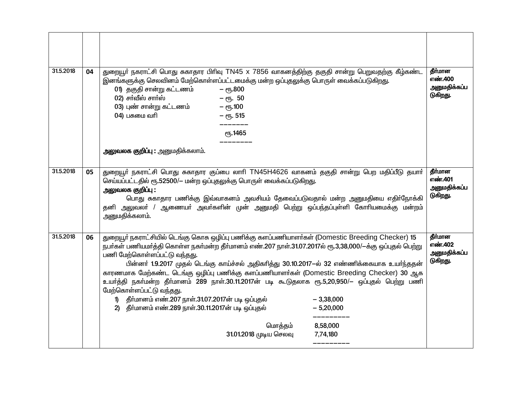| 31.5.2018 | 04 | துறையூா் நகராட்சி பொது சுகாதார பிரிவு TN45 x 7856 வாகனத்திற்கு தகுதி சான்று பெறுவதற்கு கீழ்கண்ட<br>இனங்களுக்கு செலவினம் மேற்கொள்ளப்பட்டமைக்கு மன்ற ஒப்புதலுக்கு பொருள் வைக்கப்படுகிறது.<br>01) தகுதி சான்று கட்டணம்<br>$ e\pi$ <sub>5</sub> .800<br>$02$ ) சா்வீஸ் சாா்ஸ்<br>$-$ erg. 50<br>03) புண் சான்று கட்டணம்<br>– $e$ ҧ.100<br>$04)$ பசுமை வரி<br>$-$ e <sup><math>515</math></sup><br>ரூ.1465                                                                                                                                                                                                                                                                                                                                                                                   | தீர்மான<br>எண்.400<br>அனுமதிக்கப்ப<br>டுகிறது. |
|-----------|----|-----------------------------------------------------------------------------------------------------------------------------------------------------------------------------------------------------------------------------------------------------------------------------------------------------------------------------------------------------------------------------------------------------------------------------------------------------------------------------------------------------------------------------------------------------------------------------------------------------------------------------------------------------------------------------------------------------------------------------------------------------------------------------------------|------------------------------------------------|
|           |    | அலுவலக குறிப்பு : அனுமதிக்கலாம்.                                                                                                                                                                                                                                                                                                                                                                                                                                                                                                                                                                                                                                                                                                                                                        |                                                |
| 31.5.2018 | 05 | துறையூர் நகராட்சி பொது சுகாதார குப்பை லாரி TN45H4626 வாகனம் தகுதி சான்று பெற மதிப்பீடு தயார்<br>செய்யப்பட்டதில் ரூ.52500/- மன்ற ஒப்புதலுக்கு பொருள் வைக்கப்படுகிறது.<br>அலுவலக குறிப்பு :<br>பொது சுகாதார பணிக்கு இவ்வாகனம் அவசியம் தேவைப்படுவதால் மன்ற அனுமதியை எதிர்நோக்கி<br>தனி அலுவலா் / ஆணையா் அவா்களின் முன் அனுமதி பெற்று ஒப்பந்தப்புள்ளி கோாியமைக்கு மன்றம்<br>அனுமதிக்கலாம்.                                                                                                                                                                                                                                                                                                                                                                                                  | தீர்மான<br>எண்.401<br>அனுமதிக்கப்ப<br>டுகிறது. |
| 31.5.2018 | 06 | துறையூர் நகராட்சியில் டெங்கு கொசு ஒழிப்பு பணிக்கு களப்பணியாளர்கள் (Domestic Breeding Checker) 15<br>நபா்கள் பணியமா்த்தி கொள்ள நகா்மன்ற தீா்மானம் எண்.207 நாள்.31.07.2017ல் ரூ.3,38,000/—க்கு ஒப்புதல் பெற்று<br>பணி மேற்கொள்ளப்பட்டு வந்தது.<br>பின்னா் 1.9.2017 முதல் டெங்கு காய்ச்சல் அதிகாித்து 30.10.2017-ல் 32 எண்ணிக்கையாக உயா்ந்ததன்<br>காரணமாக மேற்கண்ட டெங்கு ஒழிப்பு பணிக்கு களப்பணியாளர்கள் (Domestic Breeding Checker) 30 ஆக<br>உயர்த்தி நகர்மன்ற தீர்மானம் 289 நாள்.30.11.2017ன் படி கூடுதலாக ரூ.5,20,950/— ஒப்புதல் பெற்று பணி<br>மேற்கொள்ளப்பட்டு வந்தது.<br>தீர்மானம் எண்.207 நாள்.31.07.2017ன் படி ஒப்புதல்<br>$-3,38,000$<br>1)<br>தீா்மானம் எண்.289 நாள்.30.11.2017ன் படி ஒப்புதல்<br>$-5,20,000$<br>2)<br>மொத்தம்<br>8,58,000<br>31.01.2018 முடிய செலவு<br>7,74,180 | தீர்மான<br>எண்.402<br>அனுமதிக்கப்ப<br>டுகிறது. |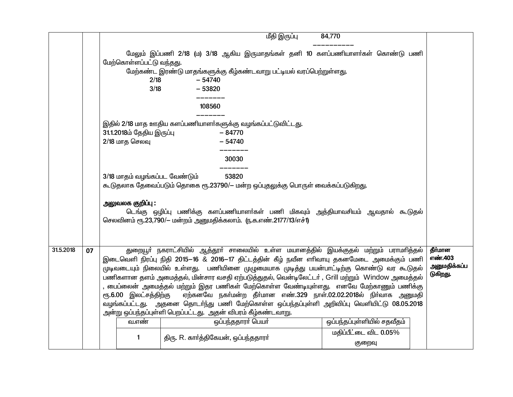|           |    |                                               | மீதி இருப்பு                                                                                                                                                                                                                                                                                                                                                                                                                                                                                                                                                                                                                                                                                                                                  | 84,770                          |                                                |
|-----------|----|-----------------------------------------------|-----------------------------------------------------------------------------------------------------------------------------------------------------------------------------------------------------------------------------------------------------------------------------------------------------------------------------------------------------------------------------------------------------------------------------------------------------------------------------------------------------------------------------------------------------------------------------------------------------------------------------------------------------------------------------------------------------------------------------------------------|---------------------------------|------------------------------------------------|
|           |    | மேற்கொள்ளப்பட்டு வந்தது.<br>2/18<br>3/18      | மேலும் இப்பணி 2/18 (ம) 3/18 ஆகிய இருமாதங்கள் தனி 10 களப்பணியாளா்கள் கொண்டு பணி<br>மேற்கண்ட இரண்டு மாதங்களுக்கு கீழ்கண்டவாறு பட்டியல் வரப்பெற்றுள்ளது.<br>$-54740$<br>$-53820$                                                                                                                                                                                                                                                                                                                                                                                                                                                                                                                                                                 |                                 |                                                |
|           |    |                                               | 108560                                                                                                                                                                                                                                                                                                                                                                                                                                                                                                                                                                                                                                                                                                                                        |                                 |                                                |
|           |    | 31.1.2018ம் தேதிய இருப்பு<br>$2/18$ மாத செலவு | இதில் 2/18 மாத ஊதிய களப்பணியாளர்களுக்கு வழங்கப்பட்டுவிட்டது.<br>$-84770$<br>$-54740$                                                                                                                                                                                                                                                                                                                                                                                                                                                                                                                                                                                                                                                          |                                 |                                                |
|           |    |                                               | 30030                                                                                                                                                                                                                                                                                                                                                                                                                                                                                                                                                                                                                                                                                                                                         |                                 |                                                |
|           |    |                                               |                                                                                                                                                                                                                                                                                                                                                                                                                                                                                                                                                                                                                                                                                                                                               |                                 |                                                |
|           |    | 3/18 மாதம் வழங்கப்பட வேண்டும்                 | 53820<br>கூடுதலாக தேவைப்படும் தொகை ரூ.23790/— மன்ற ஒப்புதலுக்கு பொருள் வைக்கப்படுகிறது.                                                                                                                                                                                                                                                                                                                                                                                                                                                                                                                                                                                                                                                       |                                 |                                                |
|           |    | அலுவலக குறி <b>ப்</b> பு :                    | டெங்கு ஒழிப்பு பணிக்கு களப்பணியாளா்கள் பணி மிகவும் அத்தியாவசியம் ஆவதால் கூடுதல்<br>செலவினம் ரூ.23,790/- மன்றம் அனுமதிக்கலாம். (ந.க.எண்.2177/13/எச்1)                                                                                                                                                                                                                                                                                                                                                                                                                                                                                                                                                                                          |                                 |                                                |
| 31.5.2018 | 07 | ரூ.6.00 இலட்சத்திற்கு<br>வ.எண்                | துறையூா் நகராட்சியில் ஆத்தூா் சாலையில் உள்ள மயானத்தில் இயக்குதல் மற்றும் பராமாித்தல்<br>இடைவெளி நிரப்பு நிதி 2015–16 & 2016–17 திட்டத்தின் கீழ் நவீன எரிவாயு தகனமேடை அமைக்கும் பணி<br>.<br>முடிவடையும் நிலையில் உள்ளது.  பணியினை முழுமையாக முடித்து பயன்பாட்டிற்கு கொண்டு வர கூடுதல்<br>பணிகளான தளம் அமைத்தல், மின்சார வசதி ஏற்படுத்துதல், வென்டிலேட்டர் , Grill மற்றும் Window அமைத்தல்<br>, பைப்லைன் அமைத்தல் மற்றும் இதர பணிகள் மேற்கொள்ள வேண்டியுள்ளது. எனவே மேற்காணும் பணிக்கு<br>ஏற்கனவே நகா்மன்ற தீா்மான எண்.329 நாள்.02.02.2018ல் நிா்வாக அனுமதி<br>வழங்கப்பட்டது. அதனை தொடர்ந்து பணி மேற்கொள்ள ஒப்பந்தப்புள்ளி அறிவிப்பு வெளியிட்டு 08.05.2018<br>அன்று ஒப்பந்தப்புள்ளி பெறப்பட்டது. அதன் விபரம் கீழ்கண்டவாறு.<br>ஒப்பந்ததாரா் பெயா் | ஒப்பந்தப்புள்ளியில் சதவீதம்     | தீர்மான<br>எண்.403<br>அனுமதிக்கப்ப<br>டுகிறது. |
|           |    | 1                                             | திரு. R. கார்த்திகேயன், ஒப்பந்ததாரர்                                                                                                                                                                                                                                                                                                                                                                                                                                                                                                                                                                                                                                                                                                          | மதிப்பீட்டை விட 0.05%<br>குறைவு |                                                |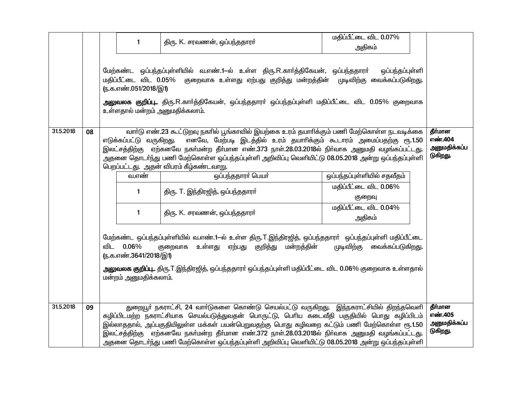|           |    | $\mathbf{1}$<br>ரு.க.எண்.051/2018/இ1)<br>உள்ளதால் மன்றம் அனுமதிக்கலாம்.                                                                                                                                                                                                                                                                                                                                                                                                                                                                        | திரு. K. சரவணன், ஒப்பந்ததாரர்<br>மேற்கண்ட ஒப்பந்தப்புள்ளியில் வ.எண்.1—ல் உள்ள திரு.R.கார்த்திகேயன், ஒப்பந்ததாரர்<br>மதிப்பீட்டை விட 0.05% குறைவாக உள்ளது ஏற்பது குறித்து மன்றத்தின் முடிவிற்கு வைக்கப்படுகிறது.<br>அலுவலக குறிப்பு திரு.R.காா்த்திகேயன், ஒப்பந்ததாரா் ஒப்பந்தப்புள்ளி மதிப்பீட்டை விட 0.05% குறைவாக                                                                                                                                                                                                                                                                                                                                                                                                                                                                        | மதிப்பீட்டை விட 0.07%<br>அதிகம்<br>ஒப்பந்தப்புள்ளி                                                                               |                                                |  |
|-----------|----|------------------------------------------------------------------------------------------------------------------------------------------------------------------------------------------------------------------------------------------------------------------------------------------------------------------------------------------------------------------------------------------------------------------------------------------------------------------------------------------------------------------------------------------------|--------------------------------------------------------------------------------------------------------------------------------------------------------------------------------------------------------------------------------------------------------------------------------------------------------------------------------------------------------------------------------------------------------------------------------------------------------------------------------------------------------------------------------------------------------------------------------------------------------------------------------------------------------------------------------------------------------------------------------------------------------------------------------------------|----------------------------------------------------------------------------------------------------------------------------------|------------------------------------------------|--|
| 31.5.2018 | 08 | எடுக்கப்பட்டு வருகிறது.<br>வ.எண்<br>1<br>1<br>விட 0.06%<br>(ந.க.எண்.3641/2018/இ1)<br>மன்றம் அனுமதிக்கலாம்.                                                                                                                                                                                                                                                                                                                                                                                                                                     | வார்டு எண்.23 கூட்டுறவு நகரில் பூங்காவில் இயற்கை உரம் தயாரிக்கும் பணி மேற்கொள்ள நடவடிக்கை<br>எனவே, மேற்படி இடத்தில் உரம் தயாரிக்கும் கூடாரம் அமைப்பதற்கு ரூ.1.50<br>இலட்சத்திற்கு ஏற்கனவே நகா்மன்ற தீா்மான எண்.373 நாள்.28.03.2018ல் நிா்வாக அனுமதி வழங்கப்பட்டது.<br>அதனை தொடர்ந்து பணி மேற்கொள்ள ஒப்பந்தப்புள்ளி அறிவிப்பு வெளியிட்டு 08.05.2018 அன்று ஒப்பந்தப்புள்ளி<br>பெறப்பட்டது. அதன் விபரம் கீழ்கண்டவாறு.<br>ஒப்பந்ததாரா் பெயா்<br>திரு. T. இந்திரஜித், ஒப்பந்ததாரா்<br>திரு. K. சரவணன், ஒப்பந்ததாரா்<br>மேற்கண்ட ஒப்பந்தப்புள்ளியில் வ.எண்.1—ல் உள்ள திரு.T.இந்திரஜித், ஒப்பந்ததாரா் ஒப்பந்தப்புள்ளி மதிப்பீட்டை<br>மன்றத்தின்<br>உள்ளது<br>ஏற்பது குறித்து<br>குறைவாக<br>அலுவலக குறிப்பு திரு.T.இந்திரஜித், ஒப்பந்ததாரா் ஒப்பந்தப்புள்ளி மதிப்பீட்டை விட 0.06% குறைவாக உள்ளதால் | ஒப்பந்தப்புள்ளியில் சதவீதம்<br>மதிப்பீட்டை விட 0.06%<br>குறைவு<br>மதிப்பீட்டை விட 0.04%<br>அதிகம்<br>முடிவிற்கு வைக்கப்படுகிறது. | தீர்மான<br>எண்.404<br>அனுமதிக்கப்ப<br>டுகிறது. |  |
| 31.5.2018 | 09 | துறையூா் நகராட்சி, 24 வாா்டுகளை கொண்டு செயல்பட்டு வருகிறது. இந்நகராட்சியில் திறந்தவெளி<br>தீர்மான<br>எண்.405<br>கழிப்பிடமற்ற நகராட்சியாக செயல்படுத்துவதன் பொருட்டு, பெரிய கடைவீதி பகுதியில் பொது கழிப்பிடம்<br>அனுமதிக்கப்ப<br>இல்லாததால், அப்பகுதியிலுள்ள மக்கள் பயன்பெறுவதற்கு பொது கழிவறை கட்டும் பணி மேற்கொள்ள ரூ.1.50<br>டுகிறது.<br>இலட்சத்திற்கு ஏற்கனவே நகா்மன்ற தீா்மான எண்.372 நாள்.28.03.2018ல் நிா்வாக அனுமதி வழங்கப்பட்டது.<br>அதனை தொடர்ந்து பணி மேற்கொள்ள ஒப்பந்தப்புள்ளி அறிவிப்பு வெளியிட்டு 08.05.2018 அன்று ஒப்பந்தப்புள்ளி |                                                                                                                                                                                                                                                                                                                                                                                                                                                                                                                                                                                                                                                                                                                                                                                            |                                                                                                                                  |                                                |  |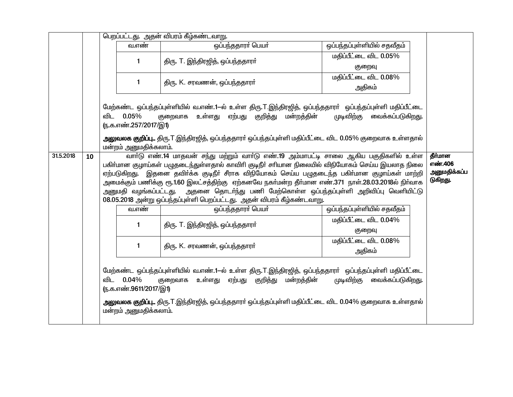|           |                                                                                                                                                                                                                                                                                                                                                                                                                                                                                                     | பெறப்பட்டது. அதன் விபரம் கீழ்கண்டவாறு.                                                                                                                                                                                                                                                                                                                                   |                                                             |                                                                                                                                                                                                                                                                               |                                 |  |  |  |  |
|-----------|-----------------------------------------------------------------------------------------------------------------------------------------------------------------------------------------------------------------------------------------------------------------------------------------------------------------------------------------------------------------------------------------------------------------------------------------------------------------------------------------------------|--------------------------------------------------------------------------------------------------------------------------------------------------------------------------------------------------------------------------------------------------------------------------------------------------------------------------------------------------------------------------|-------------------------------------------------------------|-------------------------------------------------------------------------------------------------------------------------------------------------------------------------------------------------------------------------------------------------------------------------------|---------------------------------|--|--|--|--|
|           |                                                                                                                                                                                                                                                                                                                                                                                                                                                                                                     |                                                                                                                                                                                                                                                                                                                                                                          | வ.எண்                                                       | ஒப்பந்ததாரா் பெயா்                                                                                                                                                                                                                                                            | ஒப்பந்தப்புள்ளியில் சதவீதம்     |  |  |  |  |
|           |                                                                                                                                                                                                                                                                                                                                                                                                                                                                                                     |                                                                                                                                                                                                                                                                                                                                                                          | 1                                                           |                                                                                                                                                                                                                                                                               | மதிப்பீட்டை விட 0.05%           |  |  |  |  |
|           |                                                                                                                                                                                                                                                                                                                                                                                                                                                                                                     |                                                                                                                                                                                                                                                                                                                                                                          |                                                             | திரு. T. இந்திரஜித், ஒப்பந்ததாரா்                                                                                                                                                                                                                                             | குறைவு                          |  |  |  |  |
|           |                                                                                                                                                                                                                                                                                                                                                                                                                                                                                                     |                                                                                                                                                                                                                                                                                                                                                                          |                                                             |                                                                                                                                                                                                                                                                               | மதிப்பீட்டை விட 0.08%           |  |  |  |  |
|           |                                                                                                                                                                                                                                                                                                                                                                                                                                                                                                     |                                                                                                                                                                                                                                                                                                                                                                          | 1                                                           | திரு. K. சரவணன், ஒப்பந்ததாரா்                                                                                                                                                                                                                                                 | அதிகம்                          |  |  |  |  |
|           |                                                                                                                                                                                                                                                                                                                                                                                                                                                                                                     |                                                                                                                                                                                                                                                                                                                                                                          | விட 0.05%<br>ரு.க.எண்.257/2017/இ1)<br>மன்றம் அனுமதிக்கலாம். | மேற்கண்ட ஒப்பந்தப்புள்ளியில் வ.எண்.1—ல் உள்ள திரு.T.இந்திரஜித், ஒப்பந்ததாரா்  ஒப்பந்தப்புள்ளி மதிப்பீட்டை<br>ஏற்பது குறித்து மன்றத்தின்<br>உள்ளது<br>குறைவாக<br><b>அலுவலக குறிப்பு</b> திரு.T.இந்திரஜித், ஒப்பந்ததாரா் ஒப்பந்தப்புள்ளி மதிப்பீட்டை விட 0.05% குறைவாக உள்ளதால் | முடிவிற்கு வைக்கப்படுகிறது.     |  |  |  |  |
| 31.5.2018 | வாா்டு எண்.14 மாதவன் சந்து மற்றும் வாா்டு எண்.19 அம்மாபட்டி சாலை ஆகிய பகுதிகளில் உள்ள<br>10<br>பகிா்மான குழாய்கள் பழுதடைந்துள்ளதால் காவிாி குடிநீா் சாியான நிலையில் விநியோகம் செய்ய இயலாத நிலை<br>ஏற்படுகிறது. இதனை தவிா்க்க குடிநீா் சீராக விநியோகம் செய்ய பழுதடைந்த பகிா்மான குழாய்கள் மாற்றி<br>அமைக்கும் பணிக்கு ரூ.1.60 இலட்சத்திற்கு  ஏற்கனவே நகா்மன்ற தீா்மான எண்.371  நாள்.28.03.2018ல் நிா்வாக<br>அனுமதி வழங்கப்பட்டது.  அதனை தொடா்ந்து பணி மேற்கொள்ள ஒப்பந்தப்புள்ளி அறிவிப்பு வெளியிட்டு |                                                                                                                                                                                                                                                                                                                                                                          |                                                             |                                                                                                                                                                                                                                                                               |                                 |  |  |  |  |
|           |                                                                                                                                                                                                                                                                                                                                                                                                                                                                                                     |                                                                                                                                                                                                                                                                                                                                                                          | வ.எண்                                                       | 08.05.2018 அன்று ஒப்பந்தப்புள்ளி பெறப்பட்டது. அதன் விபரம் கீழ்கண்டவாறு.<br>ஒப்பந்ததாரர் பெயர்                                                                                                                                                                                 | ஒப்பந்தப்புள்ளியில் சதவீதம்     |  |  |  |  |
|           |                                                                                                                                                                                                                                                                                                                                                                                                                                                                                                     |                                                                                                                                                                                                                                                                                                                                                                          | 1                                                           | திரு. T. இந்திரஜித், ஒப்பந்ததாரர்                                                                                                                                                                                                                                             | மதிப்பீட்டை விட 0.04%<br>குறைவு |  |  |  |  |
|           |                                                                                                                                                                                                                                                                                                                                                                                                                                                                                                     |                                                                                                                                                                                                                                                                                                                                                                          | 1                                                           | திரு. K. சரவணன், ஒப்பந்ததாரா்                                                                                                                                                                                                                                                 | மதிப்பீட்டை விட 0.08%<br>அதிகம் |  |  |  |  |
|           |                                                                                                                                                                                                                                                                                                                                                                                                                                                                                                     | மேற்கண்ட ஒப்பந்தப்புள்ளியில் வ.எண்.1—ல் உள்ள திரு.T.இந்திரஜித், ஒப்பந்ததாரா் ஒப்பந்தப்புள்ளி மதிப்பீட்டை<br>முடிவிற்கு வைக்கப்படுகிறது.<br>விட 0.04%<br>உள்ளது ஏற்பது குறித்து மன்றத்தின்<br>குறைவாக<br>ரு.க.எண்.9611/2017/இ1)<br><b>அலுவலக குறிப்பு</b> திரு.T.இந்திரஜித், ஒப்பந்ததாரா் ஒப்பந்தப்புள்ளி மதிப்பீட்டை விட 0.04% குறைவாக உள்ளதால்<br>மன்றம் அனுமதிக்கலாம். |                                                             |                                                                                                                                                                                                                                                                               |                                 |  |  |  |  |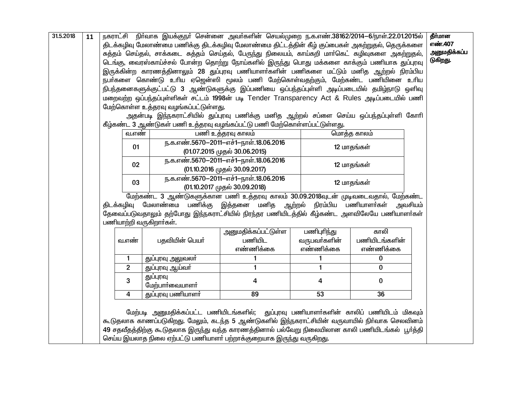| 31.5.2018 | நகராட்சி நிா்வாக இயக்குநா் சென்னை அவா்களின் செயல்முறை ந.க.எண்.38162/2014-6/நாள்.22.01.2015ல்<br>11<br>திடக்கழிவு மேலாண்மை பணிக்கு திடக்கழிவு மேலாண்மை திட்டத்தின் கீழ் குப்பைகள் அகற்றுதல், தெருக்களை<br>சுத்தம் செய்தல், சாக்கடை சுத்தம் செய்தல், பேருந்து நிலையம், காய்கறி மார்கெட் கழிவுகளை அகற்றுதல்,<br>டெங்கு, வைரஸ்காய்ச்சல் போன்ற தொற்று நோய்களில் இருந்து பொது மக்களை காக்கும் பணியாக துப்புரவு<br>இருக்கின்ற காரணத்தினாலும் 28 துப்புரவு பணியாளா்களின் பணிகளை மட்டும் மனித ஆற்றல் நிரம்பிய<br>நபா்களை கொண்டு உாிய ஏஜென்ஸி மூலம் பணி மேற்கொள்வதற்கும், மேற்கண்ட பணியினை உாிய<br>நிபந்தனைகளுக்குட்பட்டு 3 ஆண்டுகளுக்கு இப்பணியை ஒப்பந்தப்புள்ளி அடிப்படையில் தமிழ்நாடு ஒளிவு<br>மறைவற்ற ஒப்பந்தப்புள்ளிகள் சட்டம் 1998ன் படி Tender Transparency Act & Rules அடிப்படையில் பணி<br>மேற்கொள்ள உத்தரவு வழங்கப்பட்டுள்ளது.<br>அதன்படி இந்நகராட்சியில் துப்புரவு பணிக்கு மனித ஆற்றல் சப்ளை செய்ய ஒப்பந்தப்புள்ளி கோரி<br>கீழ்கண்ட 3 ஆண்டுகள் பணி உத்தரவு வழங்கப்பட்டு பணி மேற்கொள்ளப்பட்டுள்ளது. |    |                                                                               |                                                                                                                                                                                                                                                                                                                                                                   |                                                                         | தீர்மான<br>எண்.407<br>அனுமதிக்கப்ப<br>டுகிறது. |                                    |  |  |
|-----------|----------------------------------------------------------------------------------------------------------------------------------------------------------------------------------------------------------------------------------------------------------------------------------------------------------------------------------------------------------------------------------------------------------------------------------------------------------------------------------------------------------------------------------------------------------------------------------------------------------------------------------------------------------------------------------------------------------------------------------------------------------------------------------------------------------------------------------------------------------------------------------------------------------------------------------------------------------------------------------------------------|----|-------------------------------------------------------------------------------|-------------------------------------------------------------------------------------------------------------------------------------------------------------------------------------------------------------------------------------------------------------------------------------------------------------------------------------------------------------------|-------------------------------------------------------------------------|------------------------------------------------|------------------------------------|--|--|
|           |                                                                                                                                                                                                                                                                                                                                                                                                                                                                                                                                                                                                                                                                                                                                                                                                                                                                                                                                                                                                    |    | வ.எண்                                                                         |                                                                                                                                                                                                                                                                                                                                                                   | பணி உத்தரவு காலம்                                                       |                                                | மொத்த காலம்                        |  |  |
|           |                                                                                                                                                                                                                                                                                                                                                                                                                                                                                                                                                                                                                                                                                                                                                                                                                                                                                                                                                                                                    | 01 |                                                                               |                                                                                                                                                                                                                                                                                                                                                                   | ந.க.எண்.5670-2011-எச்1-நாள்.18.06.2016<br>(01.07.2015 முதல் 30.06.2015) |                                                | 12 மாதங்கள்                        |  |  |
|           |                                                                                                                                                                                                                                                                                                                                                                                                                                                                                                                                                                                                                                                                                                                                                                                                                                                                                                                                                                                                    |    | 02                                                                            |                                                                                                                                                                                                                                                                                                                                                                   | ந.க.எண்.5670-2011-எச்1-நாள்.18.06.2016<br>(01.10.2016 முதல் 30.09.2017) |                                                | 12 மாதங்கள்                        |  |  |
|           |                                                                                                                                                                                                                                                                                                                                                                                                                                                                                                                                                                                                                                                                                                                                                                                                                                                                                                                                                                                                    |    | ந.க.எண்.5670-2011-எச்1-நாள்.18.06.2016<br>03<br>(01.10.2017 முதல் 30.09.2018) |                                                                                                                                                                                                                                                                                                                                                                   |                                                                         |                                                | 12 மாதங்கள்                        |  |  |
|           | மேற்கண்ட 3 ஆண்டுகளுக்கான பணி உத்தரவு காலம் 30.09.2018வுடன் முடிவடைவதால், மேற்கண்ட<br>திடக்கழிவு மேலாண்மை பணிக்கு இத்தனை மனித ஆற்றல் நிரம்பிய பணியாளர்கள்<br>அவசியம்<br>தேவைப்படுவதாலும் தற்போது இந்நகராட்சியில் நிரந்தர பணியிடத்தில் கீழ்கண்ட அளவிலேயே பணியாளா்கள்<br>பணியாற்றி வருகிறார்கள்.                                                                                                                                                                                                                                                                                                                                                                                                                                                                                                                                                                                                                                                                                                      |    |                                                                               |                                                                                                                                                                                                                                                                                                                                                                   |                                                                         |                                                |                                    |  |  |
|           |                                                                                                                                                                                                                                                                                                                                                                                                                                                                                                                                                                                                                                                                                                                                                                                                                                                                                                                                                                                                    |    | வ.எண்                                                                         | பதவியின் பெயர்                                                                                                                                                                                                                                                                                                                                                    | அனுமதிக்கப்பட்டுள்ள<br>பணியிட<br>எண்ணிக்கை                              | பணிபுரிந்து<br>வருபவர்களின்<br>எண்ணிக்கை       | காலி<br>பணியிடங்களின்<br>எண்ணிக்கை |  |  |
|           |                                                                                                                                                                                                                                                                                                                                                                                                                                                                                                                                                                                                                                                                                                                                                                                                                                                                                                                                                                                                    |    | 1                                                                             | துப்புரவு அலுவலா்                                                                                                                                                                                                                                                                                                                                                 | 1                                                                       | 1                                              | 0                                  |  |  |
|           |                                                                                                                                                                                                                                                                                                                                                                                                                                                                                                                                                                                                                                                                                                                                                                                                                                                                                                                                                                                                    |    | $\overline{2}$                                                                | துப்புரவு ஆய்வா்                                                                                                                                                                                                                                                                                                                                                  | 1                                                                       | 1                                              | $\mathbf{0}$                       |  |  |
|           |                                                                                                                                                                                                                                                                                                                                                                                                                                                                                                                                                                                                                                                                                                                                                                                                                                                                                                                                                                                                    |    | 3                                                                             | துப்புரவு<br>மேற்பார்வையாளர்                                                                                                                                                                                                                                                                                                                                      | 4                                                                       | 4                                              | 0                                  |  |  |
|           |                                                                                                                                                                                                                                                                                                                                                                                                                                                                                                                                                                                                                                                                                                                                                                                                                                                                                                                                                                                                    |    | 4                                                                             | துப்புரவு பணியாளா்                                                                                                                                                                                                                                                                                                                                                | 89                                                                      | 53                                             | 36                                 |  |  |
|           |                                                                                                                                                                                                                                                                                                                                                                                                                                                                                                                                                                                                                                                                                                                                                                                                                                                                                                                                                                                                    |    |                                                                               | மேற்படி அனுமதிக்கப்பட்ட பணியிடங்களில்; துப்புரவு பணியாளா்களின் காலிப் பணியிடம் மிகவும்<br>கூடுதலாக காணப்படுகிறது. மேலும், கடந்த 5 ஆண்டுகளில் இந்நகராட்சியின் வருவாயில் நிா்வாக செலவினம்<br>49 சதவீதத்திற்கு கூடுதலாக இருந்து வந்த காரணத்தினால் பல்வேறு நிலையிலான காலி பணியிடங்கல் பூர்த்தி<br>செய்ய இயலாத நிலை ஏற்பட்டு பணியாளா் பற்றாக்குறையாக இருந்து வருகிறது. |                                                                         |                                                |                                    |  |  |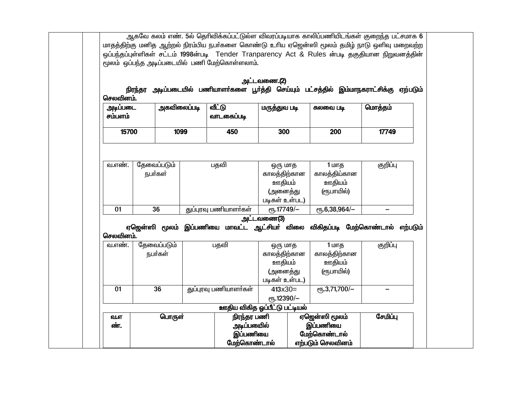ஆகவே கலம் எண். 5ல் தெரிவிக்கப்பட்டுல்ள விவரப்படியாக காலிப்பணியிடங்கள் குறைந்த பட்சமாக 6 மாதத்திற்கு மனித ஆற்றல் நிரம்பிய நபர்களை கொண்டு உரிய ஏஜென்ஸி மூலம் தமிழ் நாடு ஒளிவு மறைவற்ற ஒப்பந்தப்புள்ளிகள் சட்டம் 1998ன்படி Tender Tranparency Act & Rules ன்படி தகுதியான நிறுவனத்தின் மூலம் ஒப்பந்த அடிப்படையில் பணி மேற்கொள்ளலாம். அட்டவணை.(2) நிரந்தர அடிப்படையில் பணியாளர்களை பூர்த்தி செய்யும் பட்சத்தில் இம்மாநகராட்சிக்கு ஏற்படும் செலவினம். அடிப்படை அகவிலைப்படி வீட்டு மருத்துவ படி மொத்தம் சுலவை படி வாடகைப்படி சம்பளம் 15700 1099 450 300 200 17749 தேவைப்படும் குறிப்பு பதவி வ.எண். 1 மாக ஒரு மாத நபர்கள் காலக்கிற்கான காலக்கிய்கான ஊதியம் ஊ்கியம் (ரூபாயில்) (அனைக்கு படிகள் உள்பட) துப்புரவு பணியாளர்கள்  $\frac{1}{6}$ .17749/- $P_{\text{TE}}.6.38.964/ \overline{01}$  $\overline{36}$  $\qquad \qquad -$ அட்டவணை(3) ஏஜென்ஸி மூலம் இப்பணியை மாவட்ட ஆட்சியர் விலை விகிதப்படி மேற்கொண்டால் எற்படும் செலவினம் வ.எண். தேவைப்படும் குறிப்பு பதவி ஒரு மாத 1 மாத காலத்திற்கான காலத்திற்கான நபர்கள் ஊதியம் ஊதியம் (ரூபாயில்) (அனைத்து படிகள் உள்பட)  $36$ குப்பாவு பணியாளர்கள்  $P$ <sup>T</sup><sub>6</sub>.3,71,700/- $01$  $413x30=$  $\equiv$ ет.12390/-ஊதிய விகித ஒப்பீட்டு பட்டியல் பொருள் நிரந்தர பணி ஏஜென்ஸி மூலம் சேமிப்ப வ.எ இப்பணியை அடிப்பயைில் ண். இப்பணியை மேற்கொண்டால் எற்படும் செலவினம் மேற்கொண்டால்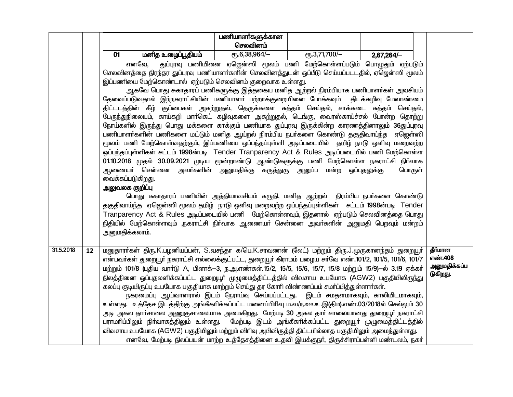|           |    |                                                                                                                                                                                         |                                                                                                                                                                                                                           | பணியாளாகளுக்கான<br>செலவினம் |                                                                        |            |                    |
|-----------|----|-----------------------------------------------------------------------------------------------------------------------------------------------------------------------------------------|---------------------------------------------------------------------------------------------------------------------------------------------------------------------------------------------------------------------------|-----------------------------|------------------------------------------------------------------------|------------|--------------------|
|           |    | 01                                                                                                                                                                                      | மனித உழைப்பூதியம்                                                                                                                                                                                                         | $\epsilon$ гђ.6,38,964/-    | $e$ гу. 3,71,700/-                                                     | 2,67,264/- |                    |
|           |    |                                                                                                                                                                                         | எனவே,                                                                                                                                                                                                                     |                             | துப்புரவு பணியினை ஏஜென்ஸி மூலம் பணி மேற்கொள்ளப்படும் பொழுதும் ஏற்படும் |            |                    |
|           |    | செலவினத்தை நிரந்தர துப்புரவு பணியாளா்களின் செலவினத்துடன் ஒப்பீடு செய்யப்படடதில், ஏஜென்ஸி மூலம்                                                                                          |                                                                                                                                                                                                                           |                             |                                                                        |            |                    |
|           |    | இப்பணியை மேற்கொண்டால் ஏற்படும் செலவினம் குறைவாக உள்ளது.                                                                                                                                 |                                                                                                                                                                                                                           |                             |                                                                        |            |                    |
|           |    | ஆகவே பொது சுகாதாரப் பணிகளுக்கு இத்தகைய மனித ஆற்றல் நிரம்பியாக பணியாளா்கள் அவசியம்                                                                                                       |                                                                                                                                                                                                                           |                             |                                                                        |            |                    |
|           |    | தேவைப்படுவதால் இந்நகராட்சியின் பணியாளா் பற்றாக்குறையினை போக்கவும்  திடக்கழிவு மேலாண்மை                                                                                                  |                                                                                                                                                                                                                           |                             |                                                                        |            |                    |
|           |    | திட்டடத்தின் கீழ் குப்பைகள் அகற்றுதல், தெருக்களை சுத்தம் செய்தல், சாக்கடை சுத்தம் செய்தல்,<br>பேருந்துநிலையம், காய்கறி மாா்கெட் கழிவுகளை அகற்றுதல், டெங்கு, வைரஸ்காய்ச்சல் போன்ற தொற்று |                                                                                                                                                                                                                           |                             |                                                                        |            |                    |
|           |    | நோய்களில் இருந்து பொது மக்களை காக்கும் பணியாக துப்புரவு இருக்கின்ற காரணத்தினாலும் 36துப்புரவு                                                                                           |                                                                                                                                                                                                                           |                             |                                                                        |            |                    |
|           |    | பணியாளா்களின் பணிகளை மட்டும் மனித ஆய்றல் நிரம்பிய நபா்களை கொண்டு தகுதிவாய்ந்த ஏஜெள்ஸி                                                                                                   |                                                                                                                                                                                                                           |                             |                                                                        |            |                    |
|           |    |                                                                                                                                                                                         | மூலம் பணி மேற்கொள்வதற்கும், இப்பணியை ஒப்பந்தப்புள்ளி அடிப்படையில் தமிழ் நாடு ஒளிவு மறைவற்ற                                                                                                                                |                             |                                                                        |            |                    |
|           |    |                                                                                                                                                                                         | ஒப்பந்தப்புள்ளிகள் சட்டம் 1998ன்படி Tender Tranparency Act & Rules அடிப்படையில் பணி மேற்கொள்ள                                                                                                                             |                             |                                                                        |            |                    |
|           |    |                                                                                                                                                                                         | 01.10.2018 முதல் 30.09.2021 முடிய மூன்றாண்டு ஆண்டுகளுக்கு பணி மேற்கொள்ள நகராட்சி நிர்வாக                                                                                                                                  |                             |                                                                        |            |                    |
|           |    | வைக்கப்படுகிறது.                                                                                                                                                                        | ஆணையா் சென்னை அவா்களின் அனுமதிக்கு கருத்துரு அனுப்ப மன்ற ஒப்புதலுக்கு                                                                                                                                                     |                             |                                                                        | பொருள்     |                    |
|           |    | அலுவலக குறி <b>ப்</b> பு                                                                                                                                                                |                                                                                                                                                                                                                           |                             |                                                                        |            |                    |
|           |    |                                                                                                                                                                                         | பொது சுகாதாரப் பணியின் அத்தியாவசியம் கருதி, மனித ஆற்றல் நிரம்பிய நபா்களை கொண்டு                                                                                                                                           |                             |                                                                        |            |                    |
|           |    |                                                                                                                                                                                         | தகுதிவாய்ந்த ஏஜென்ஸி மூலம் தமிழ் நாடு ஒளிவு மறைவற்ற ஒப்பந்தப்புள்ளிகள் சட்டம் 1998ன்படி Tender                                                                                                                            |                             |                                                                        |            |                    |
|           |    |                                                                                                                                                                                         | Tranparency Act & Rules அடிப்படையில் பணி மேற்கொள்ளவும், இதனால் ஏற்படும் செலவினத்தை பொது                                                                                                                                   |                             |                                                                        |            |                    |
|           |    |                                                                                                                                                                                         | நிதியில் மேற்கொள்ளவும் ,நகராட்சி நிா்வாக ஆணையா் சென்னை அவா்களின் அனுமதி பெறவும் மன்றம்                                                                                                                                    |                             |                                                                        |            |                    |
|           |    | அனுமதிக்கலாம்.                                                                                                                                                                          |                                                                                                                                                                                                                           |                             |                                                                        |            |                    |
|           |    |                                                                                                                                                                                         |                                                                                                                                                                                                                           |                             |                                                                        |            |                    |
| 31.5.2018 | 12 |                                                                                                                                                                                         | மனுதாரா்கள் திரு.K.பழனியப்பன், S.வசந்தா க/பெ.K.சரவணன் (லேட்) மற்றும் திரு.J.முருகானந்தம் துறையூா்                                                                                                                         |                             |                                                                        |            | தீர்மான<br>எண்.408 |
|           |    |                                                                                                                                                                                         | என்பவர்கள் துறையூர் நகராட்சி எல்லைக்குட்பட்ட, துறையூர் கிராமம் பழைய சர்வே எண்.101/2, 101/5, 101/6, 101/7<br>மற்றும் 101/8 (புதிய வார்டு A, பிளாக்–3, ந.அ.எண்கள்.15/2, 15/5, 15/6, 15/7, 15/8 மற்றும் 15/9)–ல் 3.19 ஏக்கர் |                             |                                                                        |            | அனுமதிக்கப்ப       |
|           |    |                                                                                                                                                                                         | நிலத்தினை ஒப்புதலளிக்கப்பட்ட துறையூா் முழுமைத்திட்டத்தில் விவசாய உபயோக (AGW2) பகுதியிலிருந்து                                                                                                                             |                             |                                                                        |            | டுகிறது.           |
|           |    |                                                                                                                                                                                         | கலப்பு குடியிருப்பு உபயோக பகுதியாக மாற்றம் செய்து தர கோரி விண்ணப்பம் சமா்ப்பித்துள்ளாா்கள்.                                                                                                                               |                             |                                                                        |            |                    |
|           |    |                                                                                                                                                                                         | நகரமைப்பு ஆய்வாளரால் இடம் நேராய்வு செய்யப்பட்டது. இடம் சமதளமாகவும், காலியிடமாகவும்,                                                                                                                                       |                             |                                                                        |            |                    |
|           |    |                                                                                                                                                                                         | உள்ளது. உத்தேச இடத்திற்கு அங்கீகரிக்கப்பட்ட மனைப்பிரிவு ம.வ/ந.ஊ.உ.இ(திம).எண்.03/2018ல் செல்லும் 30                                                                                                                        |                             |                                                                        |            |                    |
|           |    |                                                                                                                                                                                         | அடி அகல தார்சாலை அணுகுசாலையாக அமைகிறது. மேற்படி 30 அகல தார் சாலையானது துறையூர் நகராட்சி                                                                                                                                   |                             |                                                                        |            |                    |
|           |    |                                                                                                                                                                                         | பராமாிப்பிலும் நிா்வாகத்திலும் உள்ளது. மேற்படி இடம் அங்கீகாிக்கப்பட்ட துறையூா் முழுமைத்திட்டத்தில்                                                                                                                        |                             |                                                                        |            |                    |
|           |    |                                                                                                                                                                                         | விவசாய உபயோக (AGW2) பகுதியிலும் மற்றும் விரிவு அபிவிருத்தி திட்டமில்லாத பகுதியிலும் அமைந்துள்ளது.<br>எனவே, மேற்படி நிலப்பயன் மாற்ற உத்தேசத்தினை உதவி இயக்குநா், திருச்சிராப்பள்ளி மண்டலம், நகா்                           |                             |                                                                        |            |                    |